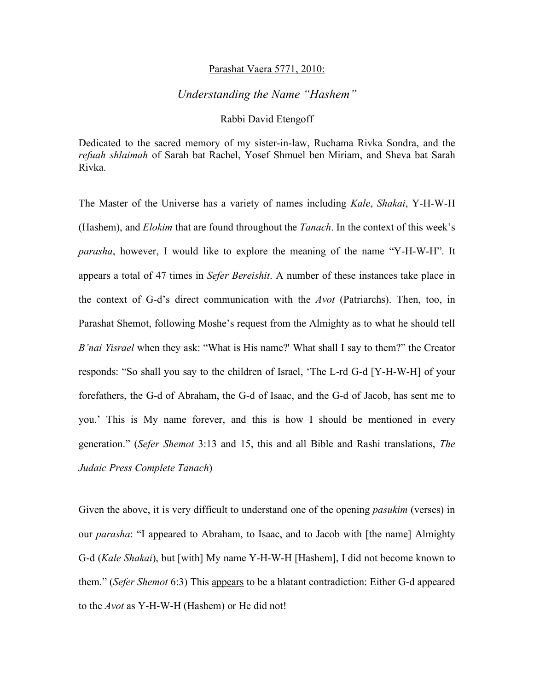## Parashat Vaera 5771, 2010:

## *Understanding the Name "Hashem"*

## Rabbi David Etengoff

Dedicated to the sacred memory of my sister-in-law, Ruchama Rivka Sondra, and the *refuah shlaimah* of Sarah bat Rachel, Yosef Shmuel ben Miriam, and Sheva bat Sarah Rivka.

The Master of the Universe has a variety of names including *Kale*, *Shakai*, Y-H-W-H (Hashem), and *Elokim* that are found throughout the *Tanach*. In the context of this week's *parasha*, however, I would like to explore the meaning of the name "Y-H-W-H". It appears a total of 47 times in *Sefer Bereishit*. A number of these instances take place in the context of G-d's direct communication with the *Avot* (Patriarchs). Then, too, in Parashat Shemot, following Moshe's request from the Almighty as to what he should tell *B'nai Yisrael* when they ask: "What is His name?' What shall I say to them?" the Creator responds: "So shall you say to the children of Israel, 'The L-rd G-d [Y-H-W-H] of your forefathers, the G-d of Abraham, the G-d of Isaac, and the G-d of Jacob, has sent me to you.' This is My name forever, and this is how I should be mentioned in every generation." (*Sefer Shemot* 3:13 and 15, this and all Bible and Rashi translations, *The Judaic Press Complete Tanach*)

Given the above, it is very difficult to understand one of the opening *pasukim* (verses) in our *parasha*: "I appeared to Abraham, to Isaac, and to Jacob with [the name] Almighty G-d (*Kale Shakai*), but [with] My name Y-H-W-H [Hashem], I did not become known to them." (*Sefer Shemot* 6:3) This appears to be a blatant contradiction: Either G-d appeared to the *Avot* as Y-H-W-H (Hashem) or He did not!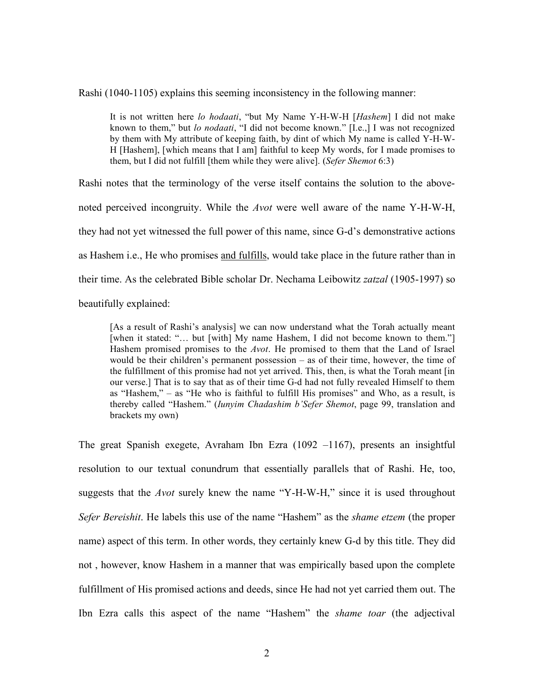Rashi (1040-1105) explains this seeming inconsistency in the following manner:

It is not written here *lo hodaati*, "but My Name Y-H-W-H [*Hashem*] I did not make known to them," but *lo nodaati*, "I did not become known." [I.e.,] I was not recognized by them with My attribute of keeping faith, by dint of which My name is called Y-H-W-H [Hashem], [which means that I am] faithful to keep My words, for I made promises to them, but I did not fulfill [them while they were alive]. (*Sefer Shemot* 6:3)

Rashi notes that the terminology of the verse itself contains the solution to the abovenoted perceived incongruity. While the *Avot* were well aware of the name Y-H-W-H, they had not yet witnessed the full power of this name, since G-d's demonstrative actions as Hashem i.e., He who promises and fulfills, would take place in the future rather than in their time. As the celebrated Bible scholar Dr. Nechama Leibowitz *zatzal* (1905-1997) so beautifully explained:

[As a result of Rashi's analysis] we can now understand what the Torah actually meant [when it stated: "... but [with] My name Hashem, I did not become known to them."] Hashem promised promises to the *Avot*. He promised to them that the Land of Israel would be their children's permanent possession – as of their time, however, the time of the fulfillment of this promise had not yet arrived. This, then, is what the Torah meant [in our verse.] That is to say that as of their time G-d had not fully revealed Himself to them as "Hashem," – as "He who is faithful to fulfill His promises" and Who, as a result, is thereby called "Hashem." (*Iunyim Chadashim b'Sefer Shemot*, page 99, translation and brackets my own)

The great Spanish exegete, Avraham Ibn Ezra (1092 –1167), presents an insightful resolution to our textual conundrum that essentially parallels that of Rashi. He, too, suggests that the *Avot* surely knew the name "Y-H-W-H," since it is used throughout *Sefer Bereishit*. He labels this use of the name "Hashem" as the *shame etzem* (the proper name) aspect of this term. In other words, they certainly knew G-d by this title. They did not , however, know Hashem in a manner that was empirically based upon the complete fulfillment of His promised actions and deeds, since He had not yet carried them out. The Ibn Ezra calls this aspect of the name "Hashem" the *shame toar* (the adjectival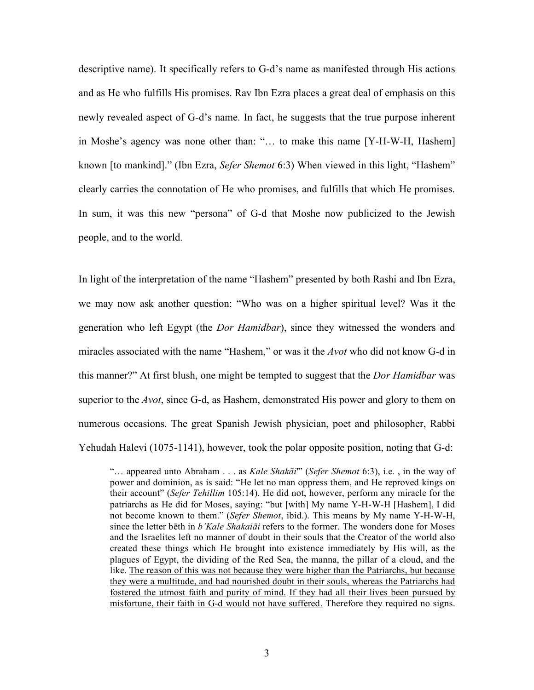descriptive name). It specifically refers to G-d's name as manifested through His actions and as He who fulfills His promises. Rav Ibn Ezra places a great deal of emphasis on this newly revealed aspect of G-d's name. In fact, he suggests that the true purpose inherent in Moshe's agency was none other than: "… to make this name [Y-H-W-H, Hashem] known [to mankind]." (Ibn Ezra, *Sefer Shemot* 6:3) When viewed in this light, "Hashem" clearly carries the connotation of He who promises, and fulfills that which He promises. In sum, it was this new "persona" of G-d that Moshe now publicized to the Jewish people, and to the world.

In light of the interpretation of the name "Hashem" presented by both Rashi and Ibn Ezra, we may now ask another question: "Who was on a higher spiritual level? Was it the generation who left Egypt (the *Dor Hamidbar*), since they witnessed the wonders and miracles associated with the name "Hashem," or was it the *Avot* who did not know G-d in this manner?" At first blush, one might be tempted to suggest that the *Dor Hamidbar* was superior to the *Avot*, since G-d, as Hashem, demonstrated His power and glory to them on numerous occasions. The great Spanish Jewish physician, poet and philosopher, Rabbi Yehudah Halevi (1075-1141), however, took the polar opposite position, noting that G-d:

"… appeared unto Abraham . . . as *Kale Shakāi*'" (*Sefer Shemot* 6:3), i.e. , in the way of power and dominion, as is said: "He let no man oppress them, and He reproved kings on their account" (*Sefer Tehillim* 105:14). He did not, however, perform any miracle for the patriarchs as He did for Moses, saying: "but [with] My name Y-H-W-H [Hashem], I did not become known to them." (*Sefer Shemot*, ibid.). This means by My name Y-H-W-H, since the letter bēth in *b'Kale Shakaiāi* refers to the former. The wonders done for Moses and the Israelites left no manner of doubt in their souls that the Creator of the world also created these things which He brought into existence immediately by His will, as the plagues of Egypt, the dividing of the Red Sea, the manna, the pillar of a cloud, and the like. The reason of this was not because they were higher than the Patriarchs, but because they were a multitude, and had nourished doubt in their souls, whereas the Patriarchs had fostered the utmost faith and purity of mind. If they had all their lives been pursued by misfortune, their faith in G-d would not have suffered. Therefore they required no signs.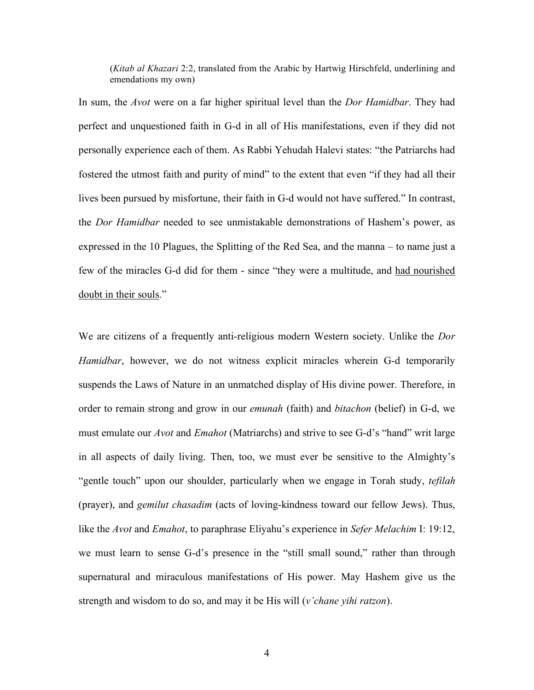(*Kitab al Khazari* 2:2, translated from the Arabic by Hartwig Hirschfeld, underlining and emendations my own)

In sum, the *Avot* were on a far higher spiritual level than the *Dor Hamidbar*. They had perfect and unquestioned faith in G-d in all of His manifestations, even if they did not personally experience each of them. As Rabbi Yehudah Halevi states: "the Patriarchs had fostered the utmost faith and purity of mind" to the extent that even "if they had all their lives been pursued by misfortune, their faith in G-d would not have suffered." In contrast, the *Dor Hamidbar* needed to see unmistakable demonstrations of Hashem's power, as expressed in the 10 Plagues, the Splitting of the Red Sea, and the manna – to name just a few of the miracles G-d did for them - since "they were a multitude, and had nourished doubt in their souls."

We are citizens of a frequently anti-religious modern Western society. Unlike the *Dor Hamidbar*, however, we do not witness explicit miracles wherein G-d temporarily suspends the Laws of Nature in an unmatched display of His divine power. Therefore, in order to remain strong and grow in our *emunah* (faith) and *bitachon* (belief) in G-d, we must emulate our *Avot* and *Emahot* (Matriarchs) and strive to see G-d's "hand" writ large in all aspects of daily living. Then, too, we must ever be sensitive to the Almighty's "gentle touch" upon our shoulder, particularly when we engage in Torah study, *tefilah*  (prayer), and *gemilut chasadim* (acts of loving-kindness toward our fellow Jews). Thus, like the *Avot* and *Emahot*, to paraphrase Eliyahu's experience in *Sefer Melachim* I: 19:12, we must learn to sense G-d's presence in the "still small sound," rather than through supernatural and miraculous manifestations of His power. May Hashem give us the strength and wisdom to do so, and may it be His will (*v'chane yihi ratzon*).